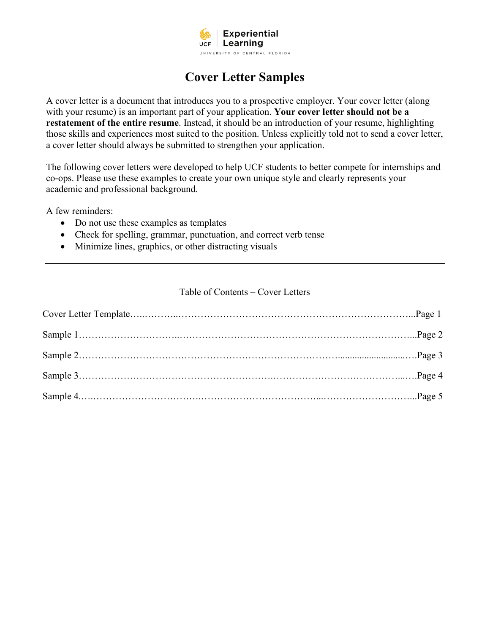

# **Cover Letter Samples**

A cover letter is a document that introduces you to a prospective employer. Your cover letter (along with your resume) is an important part of your application. **Your cover letter should not be a restatement of the entire resume**. Instead, it should be an introduction of your resume, highlighting those skills and experiences most suited to the position. Unless explicitly told not to send a cover letter, a cover letter should always be submitted to strengthen your application.

The following cover letters were developed to help UCF students to better compete for internships and co-ops. Please use these examples to create your own unique style and clearly represents your academic and professional background.

A few reminders:

- Do not use these examples as templates
- Check for spelling, grammar, punctuation, and correct verb tense
- Minimize lines, graphics, or other distracting visuals

## Table of Contents – Cover Letters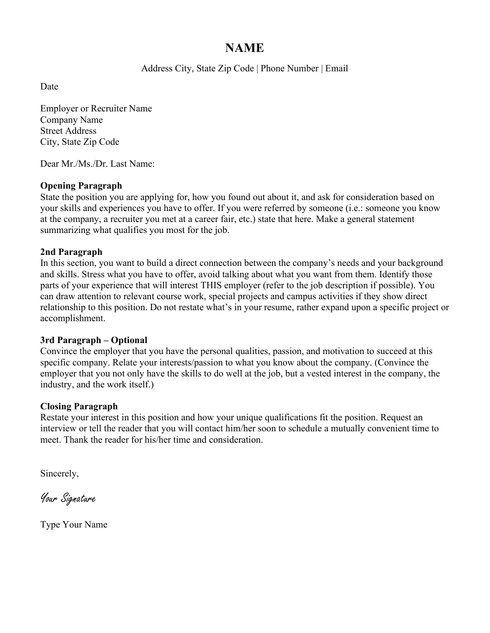# **NAME**

Address City, State Zip Code | Phone Number | Email

Date

Employer or Recruiter Name Company Name Street Address City, State Zip Code

Dear Mr./Ms./Dr. Last Name:

## **Opening Paragraph**

State the position you are applying for, how you found out about it, and ask for consideration based on your skills and experiences you have to offer. If you were referred by someone (i.e.: someone you know at the company, a recruiter you met at a career fair, etc.) state that here. Make a general statement summarizing what qualifies you most for the job.

## **2nd Paragraph**

In this section, you want to build a direct connection between the company's needs and your background and skills. Stress what you have to offer, avoid talking about what you want from them. Identify those parts of your experience that will interest THIS employer (refer to the job description if possible). You can draw attention to relevant course work, special projects and campus activities if they show direct relationship to this position. Do not restate what's in your resume, rather expand upon a specific project or accomplishment.

## **3rd Paragraph – Optional**

Convince the employer that you have the personal qualities, passion, and motivation to succeed at this specific company. Relate your interests/passion to what you know about the company. (Convince the employer that you not only have the skills to do well at the job, but a vested interest in the company, the industry, and the work itself.)

## **Closing Paragraph**

Restate your interest in this position and how your unique qualifications fit the position. Request an interview or tell the reader that you will contact him/her soon to schedule a mutually convenient time to meet. Thank the reader for his/her time and consideration.

Sincerely,

Your Signature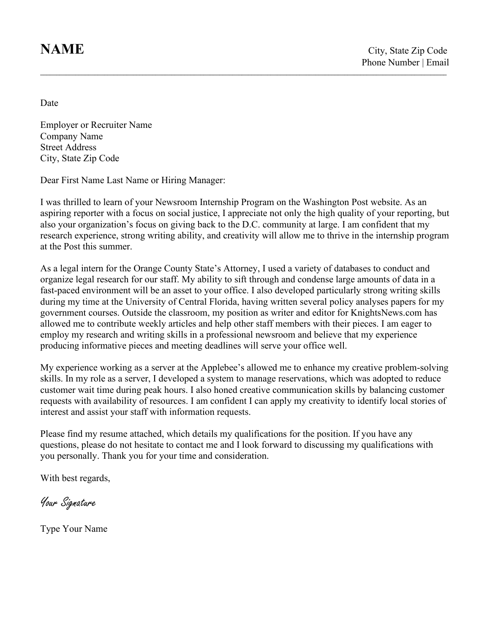Date

Employer or Recruiter Name Company Name Street Address City, State Zip Code

Dear First Name Last Name or Hiring Manager:

I was thrilled to learn of your Newsroom Internship Program on the Washington Post website. As an aspiring reporter with a focus on social justice, I appreciate not only the high quality of your reporting, but also your organization's focus on giving back to the D.C. community at large. I am confident that my research experience, strong writing ability, and creativity will allow me to thrive in the internship program at the Post this summer.

**\_\_\_\_\_\_\_\_\_\_\_\_\_\_\_\_\_\_\_\_\_\_\_\_\_\_\_\_\_\_\_\_\_\_\_\_\_\_\_\_\_\_\_\_\_\_\_\_\_\_\_\_\_\_\_\_\_\_\_\_\_\_\_\_\_\_\_\_\_\_\_\_\_\_\_\_\_\_\_\_\_\_\_\_\_\_\_\_\_\_\_\_\_\_\_\_\_\_\_\_\_\_\_\_\_\_\_\_\_\_\_\_\_\_\_\_\_\_\_\_\_\_\_\_\_\_\_**

As a legal intern for the Orange County State's Attorney, I used a variety of databases to conduct and organize legal research for our staff. My ability to sift through and condense large amounts of data in a fast-paced environment will be an asset to your office. I also developed particularly strong writing skills during my time at the University of Central Florida, having written several policy analyses papers for my government courses. Outside the classroom, my position as writer and editor for KnightsNews.com has allowed me to contribute weekly articles and help other staff members with their pieces. I am eager to employ my research and writing skills in a professional newsroom and believe that my experience producing informative pieces and meeting deadlines will serve your office well.

My experience working as a server at the Applebee's allowed me to enhance my creative problem-solving skills. In my role as a server, I developed a system to manage reservations, which was adopted to reduce customer wait time during peak hours. I also honed creative communication skills by balancing customer requests with availability of resources. I am confident I can apply my creativity to identify local stories of interest and assist your staff with information requests.

Please find my resume attached, which details my qualifications for the position. If you have any questions, please do not hesitate to contact me and I look forward to discussing my qualifications with you personally. Thank you for your time and consideration.

With best regards,

Your Signature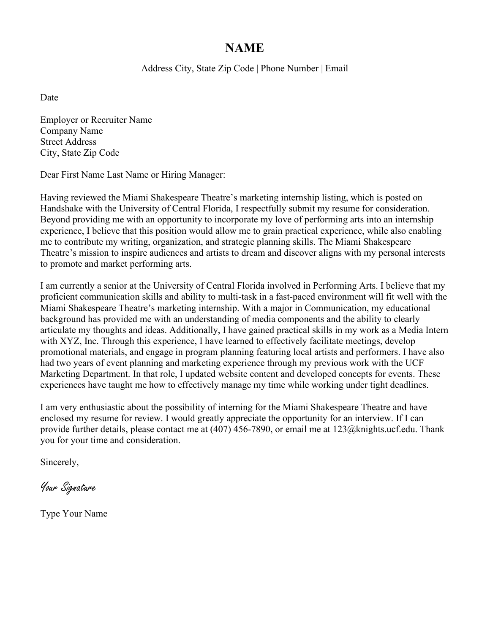# **NAME**

Address City, State Zip Code | Phone Number | Email

Date

Employer or Recruiter Name Company Name Street Address City, State Zip Code

Dear First Name Last Name or Hiring Manager:

Having reviewed the Miami Shakespeare Theatre's marketing internship listing, which is posted on Handshake with the University of Central Florida, I respectfully submit my resume for consideration. Beyond providing me with an opportunity to incorporate my love of performing arts into an internship experience, I believe that this position would allow me to grain practical experience, while also enabling me to contribute my writing, organization, and strategic planning skills. The Miami Shakespeare Theatre's mission to inspire audiences and artists to dream and discover aligns with my personal interests to promote and market performing arts.

I am currently a senior at the University of Central Florida involved in Performing Arts. I believe that my proficient communication skills and ability to multi-task in a fast-paced environment will fit well with the Miami Shakespeare Theatre's marketing internship. With a major in Communication, my educational background has provided me with an understanding of media components and the ability to clearly articulate my thoughts and ideas. Additionally, I have gained practical skills in my work as a Media Intern with XYZ, Inc. Through this experience, I have learned to effectively facilitate meetings, develop promotional materials, and engage in program planning featuring local artists and performers. I have also had two years of event planning and marketing experience through my previous work with the UCF Marketing Department. In that role, I updated website content and developed concepts for events. These experiences have taught me how to effectively manage my time while working under tight deadlines.

I am very enthusiastic about the possibility of interning for the Miami Shakespeare Theatre and have enclosed my resume for review. I would greatly appreciate the opportunity for an interview. If I can provide further details, please contact me at (407) 456-7890, or email me at 123@knights.ucf.edu. Thank you for your time and consideration.

Sincerely,

Your Signature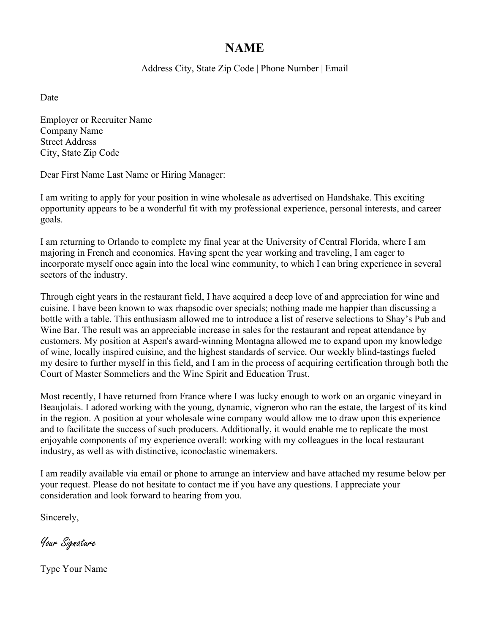# **NAME**

Address City, State Zip Code | Phone Number | Email

Date

Employer or Recruiter Name Company Name Street Address City, State Zip Code

Dear First Name Last Name or Hiring Manager:

I am writing to apply for your position in wine wholesale as advertised on Handshake. This exciting opportunity appears to be a wonderful fit with my professional experience, personal interests, and career goals.

I am returning to Orlando to complete my final year at the University of Central Florida, where I am majoring in French and economics. Having spent the year working and traveling, I am eager to incorporate myself once again into the local wine community, to which I can bring experience in several sectors of the industry.

Through eight years in the restaurant field, I have acquired a deep love of and appreciation for wine and cuisine. I have been known to wax rhapsodic over specials; nothing made me happier than discussing a bottle with a table. This enthusiasm allowed me to introduce a list of reserve selections to Shay's Pub and Wine Bar. The result was an appreciable increase in sales for the restaurant and repeat attendance by customers. My position at Aspen's award-winning Montagna allowed me to expand upon my knowledge of wine, locally inspired cuisine, and the highest standards of service. Our weekly blind-tastings fueled my desire to further myself in this field, and I am in the process of acquiring certification through both the Court of Master Sommeliers and the Wine Spirit and Education Trust.

Most recently, I have returned from France where I was lucky enough to work on an organic vineyard in Beaujolais. I adored working with the young, dynamic, vigneron who ran the estate, the largest of its kind in the region. A position at your wholesale wine company would allow me to draw upon this experience and to facilitate the success of such producers. Additionally, it would enable me to replicate the most enjoyable components of my experience overall: working with my colleagues in the local restaurant industry, as well as with distinctive, iconoclastic winemakers.

I am readily available via email or phone to arrange an interview and have attached my resume below per your request. Please do not hesitate to contact me if you have any questions. I appreciate your consideration and look forward to hearing from you.

Sincerely,

Your Signature